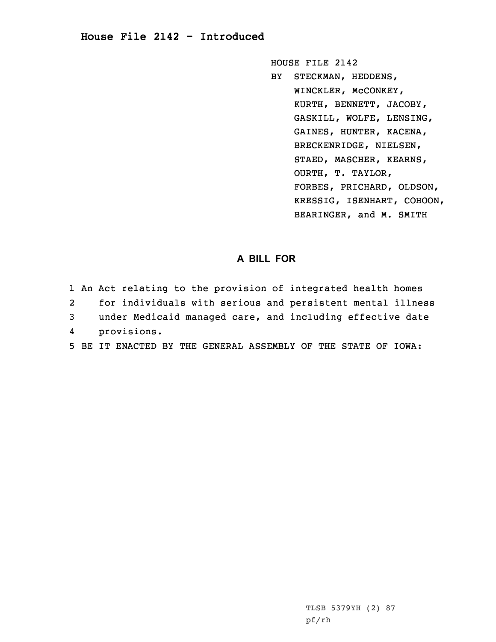## **House File 2142 - Introduced**

HOUSE FILE 2142

BY STECKMAN, HEDDENS, WINCKLER, McCONKEY, KURTH, BENNETT, JACOBY, GASKILL, WOLFE, LENSING, GAINES, HUNTER, KACENA, BRECKENRIDGE, NIELSEN, STAED, MASCHER, KEARNS, OURTH, T. TAYLOR, FORBES, PRICHARD, OLDSON, KRESSIG, ISENHART, COHOON, BEARINGER, and M. SMITH

## **A BILL FOR**

|                         | 1 An Act relating to the provision of integrated health homes |
|-------------------------|---------------------------------------------------------------|
| 2                       | for individuals with serious and persistent mental illness    |
| $\overline{\mathbf{3}}$ | under Medicaid managed care, and including effective date     |
|                         | 4 provisions.                                                 |
|                         | 5 BE IT ENACTED BY THE GENERAL ASSEMBLY OF THE STATE OF IOWA: |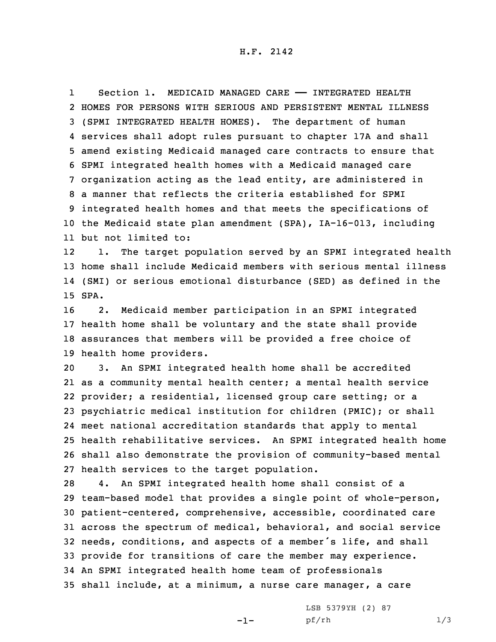1Section 1. MEDICAID MANAGED CARE - INTEGRATED HEALTH HOMES FOR PERSONS WITH SERIOUS AND PERSISTENT MENTAL ILLNESS (SPMI INTEGRATED HEALTH HOMES). The department of human services shall adopt rules pursuant to chapter 17A and shall amend existing Medicaid managed care contracts to ensure that SPMI integrated health homes with <sup>a</sup> Medicaid managed care organization acting as the lead entity, are administered in <sup>a</sup> manner that reflects the criteria established for SPMI integrated health homes and that meets the specifications of the Medicaid state plan amendment (SPA), IA-16-013, including but not limited to:

12 1. The target population served by an SPMI integrated health 13 home shall include Medicaid members with serious mental illness 14 (SMI) or serious emotional disturbance (SED) as defined in the 15 SPA.

 2. Medicaid member participation in an SPMI integrated health home shall be voluntary and the state shall provide assurances that members will be provided <sup>a</sup> free choice of health home providers.

 3. An SPMI integrated health home shall be accredited as <sup>a</sup> community mental health center; <sup>a</sup> mental health service provider; <sup>a</sup> residential, licensed group care setting; or <sup>a</sup> psychiatric medical institution for children (PMIC); or shall meet national accreditation standards that apply to mental health rehabilitative services. An SPMI integrated health home shall also demonstrate the provision of community-based mental health services to the target population.

 4. An SPMI integrated health home shall consist of <sup>a</sup> team-based model that provides <sup>a</sup> single point of whole-person, patient-centered, comprehensive, accessible, coordinated care across the spectrum of medical, behavioral, and social service needs, conditions, and aspects of <sup>a</sup> member's life, and shall provide for transitions of care the member may experience. An SPMI integrated health home team of professionals shall include, at <sup>a</sup> minimum, <sup>a</sup> nurse care manager, <sup>a</sup> care

-1-

LSB 5379YH (2) 87 pf/rh 1/3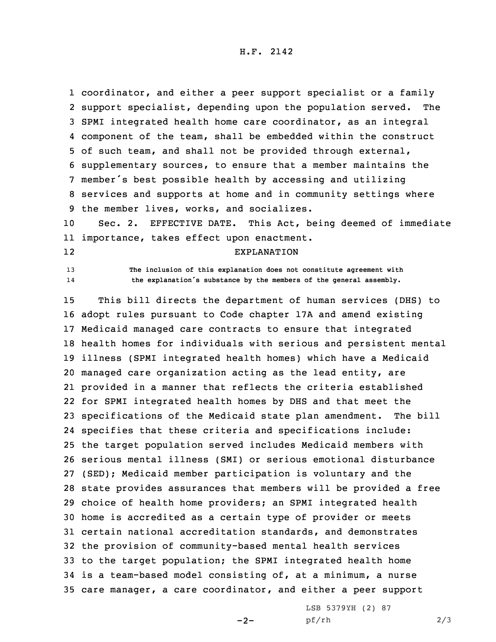coordinator, and either <sup>a</sup> peer support specialist or <sup>a</sup> family support specialist, depending upon the population served. The SPMI integrated health home care coordinator, as an integral component of the team, shall be embedded within the construct of such team, and shall not be provided through external, supplementary sources, to ensure that <sup>a</sup> member maintains the member's best possible health by accessing and utilizing services and supports at home and in community settings where the member lives, works, and socializes.

10 Sec. 2. EFFECTIVE DATE. This Act, being deemed of immediate 11 importance, takes effect upon enactment.

12

14

13 **The inclusion of this explanation does not constitute agreement with the explanation's substance by the members of the general assembly.**

EXPLANATION

 This bill directs the department of human services (DHS) to adopt rules pursuant to Code chapter 17A and amend existing Medicaid managed care contracts to ensure that integrated health homes for individuals with serious and persistent mental illness (SPMI integrated health homes) which have <sup>a</sup> Medicaid managed care organization acting as the lead entity, are provided in <sup>a</sup> manner that reflects the criteria established for SPMI integrated health homes by DHS and that meet the specifications of the Medicaid state plan amendment. The bill specifies that these criteria and specifications include: the target population served includes Medicaid members with serious mental illness (SMI) or serious emotional disturbance (SED); Medicaid member participation is voluntary and the state provides assurances that members will be provided <sup>a</sup> free choice of health home providers; an SPMI integrated health home is accredited as <sup>a</sup> certain type of provider or meets certain national accreditation standards, and demonstrates the provision of community-based mental health services to the target population; the SPMI integrated health home is <sup>a</sup> team-based model consisting of, at <sup>a</sup> minimum, <sup>a</sup> nurse care manager, <sup>a</sup> care coordinator, and either <sup>a</sup> peer support

 $-2-$ 

LSB 5379YH (2) 87 pf/rh 2/3